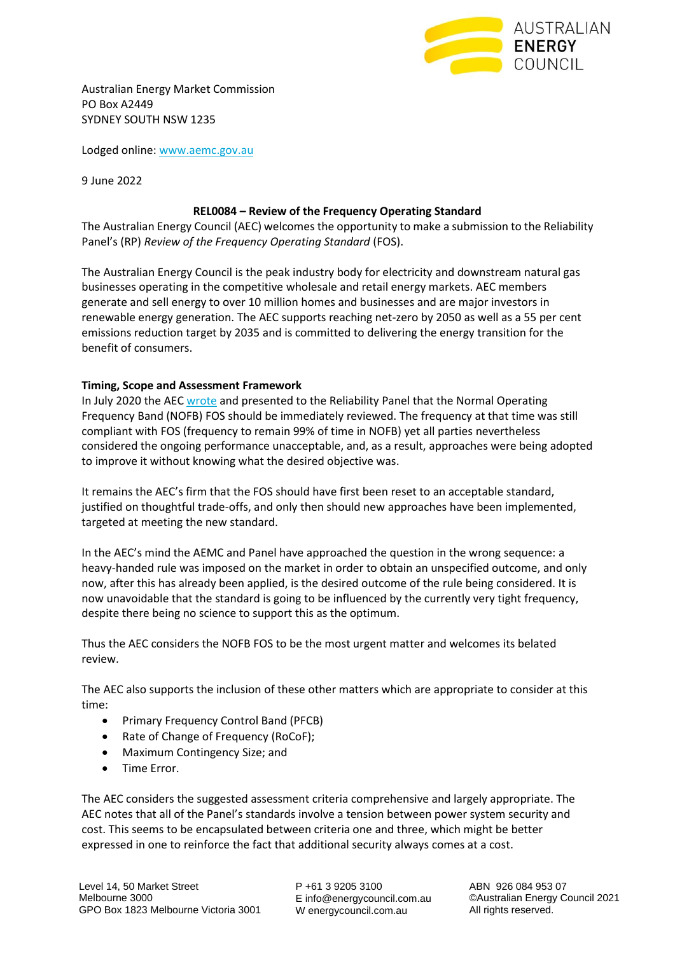

Australian Energy Market Commission PO Box A2449 SYDNEY SOUTH NSW 1235

Lodged online[: www.aemc.gov.au](http://www.aemc.gov.au/)

9 June 2022

#### **REL0084 – Review of the Frequency Operating Standard**

The Australian Energy Council (AEC) welcomes the opportunity to make a submission to the Reliability Panel's (RP) *Review of the Frequency Operating Standard* (FOS).

The Australian Energy Council is the peak industry body for electricity and downstream natural gas businesses operating in the competitive wholesale and retail energy markets. AEC members generate and sell energy to over 10 million homes and businesses and are major investors in renewable energy generation. The AEC supports reaching net-zero by 2050 as well as a 55 per cent emissions reduction target by 2035 and is committed to delivering the energy transition for the benefit of consumers.

## **Timing, Scope and Assessment Framework**

In July 2020 the AE[C wrote](https://www.energycouncil.com.au/media/153d0zbl/panel-letter-to-aec-future-review-of-the-fos-6-october-2020.pdf) and presented to the Reliability Panel that the Normal Operating Frequency Band (NOFB) FOS should be immediately reviewed. The frequency at that time was still compliant with FOS (frequency to remain 99% of time in NOFB) yet all parties nevertheless considered the ongoing performance unacceptable, and, as a result, approaches were being adopted to improve it without knowing what the desired objective was.

It remains the AEC's firm that the FOS should have first been reset to an acceptable standard, justified on thoughtful trade-offs, and only then should new approaches have been implemented, targeted at meeting the new standard.

In the AEC's mind the AEMC and Panel have approached the question in the wrong sequence: a heavy-handed rule was imposed on the market in order to obtain an unspecified outcome, and only now, after this has already been applied, is the desired outcome of the rule being considered. It is now unavoidable that the standard is going to be influenced by the currently very tight frequency, despite there being no science to support this as the optimum.

Thus the AEC considers the NOFB FOS to be the most urgent matter and welcomes its belated review.

The AEC also supports the inclusion of these other matters which are appropriate to consider at this time:

- Primary Frequency Control Band (PFCB)
- Rate of Change of Frequency (RoCoF);
- Maximum Contingency Size; and
- Time Error.

The AEC considers the suggested assessment criteria comprehensive and largely appropriate. The AEC notes that all of the Panel's standards involve a tension between power system security and cost. This seems to be encapsulated between criteria one and three, which might be better expressed in one to reinforce the fact that additional security always comes at a cost.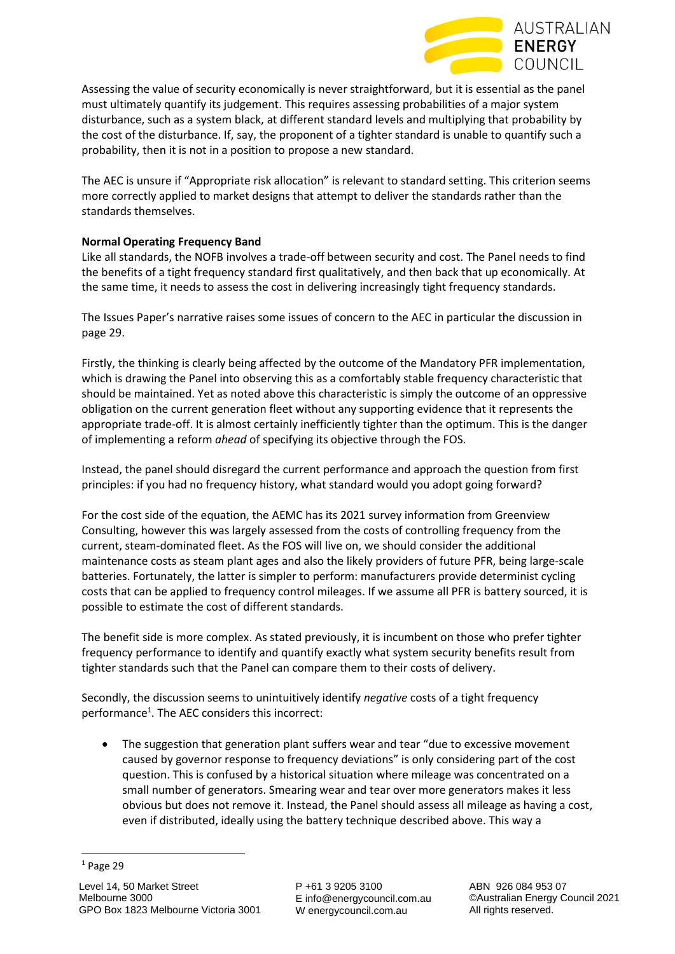

Assessing the value of security economically is never straightforward, but it is essential as the panel must ultimately quantify its judgement. This requires assessing probabilities of a major system disturbance, such as a system black, at different standard levels and multiplying that probability by the cost of the disturbance. If, say, the proponent of a tighter standard is unable to quantify such a probability, then it is not in a position to propose a new standard.

The AEC is unsure if "Appropriate risk allocation" is relevant to standard setting. This criterion seems more correctly applied to market designs that attempt to deliver the standards rather than the standards themselves.

# **Normal Operating Frequency Band**

Like all standards, the NOFB involves a trade-off between security and cost. The Panel needs to find the benefits of a tight frequency standard first qualitatively, and then back that up economically. At the same time, it needs to assess the cost in delivering increasingly tight frequency standards.

The Issues Paper's narrative raises some issues of concern to the AEC in particular the discussion in page 29.

Firstly, the thinking is clearly being affected by the outcome of the Mandatory PFR implementation, which is drawing the Panel into observing this as a comfortably stable frequency characteristic that should be maintained. Yet as noted above this characteristic is simply the outcome of an oppressive obligation on the current generation fleet without any supporting evidence that it represents the appropriate trade-off. It is almost certainly inefficiently tighter than the optimum. This is the danger of implementing a reform *ahead* of specifying its objective through the FOS.

Instead, the panel should disregard the current performance and approach the question from first principles: if you had no frequency history, what standard would you adopt going forward?

For the cost side of the equation, the AEMC has its 2021 survey information from Greenview Consulting, however this was largely assessed from the costs of controlling frequency from the current, steam-dominated fleet. As the FOS will live on, we should consider the additional maintenance costs as steam plant ages and also the likely providers of future PFR, being large-scale batteries. Fortunately, the latter is simpler to perform: manufacturers provide determinist cycling costs that can be applied to frequency control mileages. If we assume all PFR is battery sourced, it is possible to estimate the cost of different standards.

The benefit side is more complex. As stated previously, it is incumbent on those who prefer tighter frequency performance to identify and quantify exactly what system security benefits result from tighter standards such that the Panel can compare them to their costs of delivery.

Secondly, the discussion seems to unintuitively identify *negative* costs of a tight frequency performance<sup>1</sup>. The AEC considers this incorrect:

• The suggestion that generation plant suffers wear and tear "due to excessive movement caused by governor response to frequency deviations" is only considering part of the cost question. This is confused by a historical situation where mileage was concentrated on a small number of generators. Smearing wear and tear over more generators makes it less obvious but does not remove it. Instead, the Panel should assess all mileage as having a cost, even if distributed, ideally using the battery technique described above. This way a

 $1$  Page 29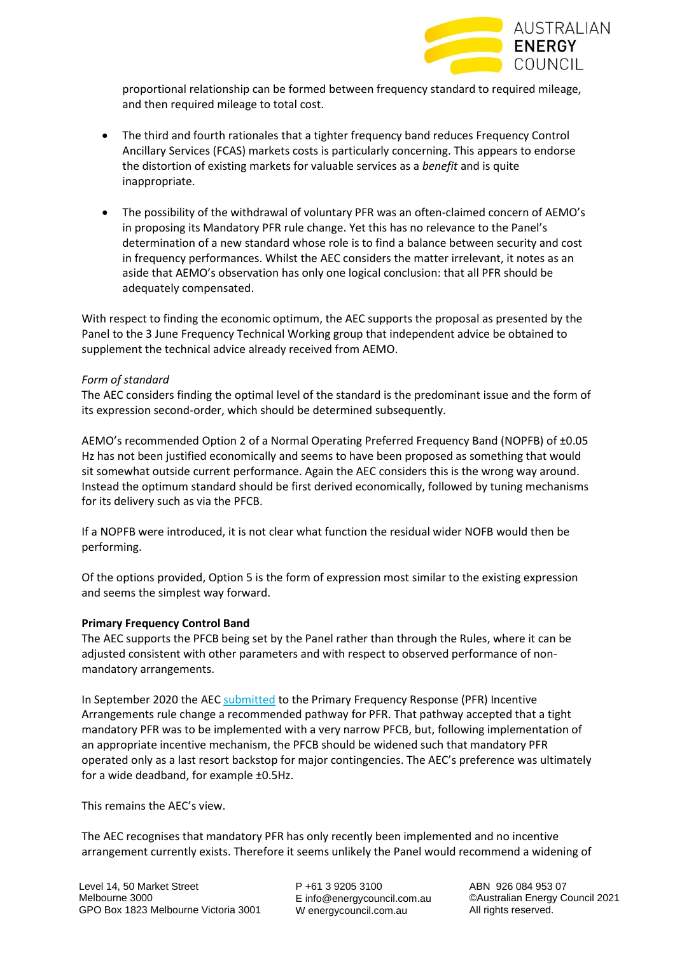

proportional relationship can be formed between frequency standard to required mileage, and then required mileage to total cost.

- The third and fourth rationales that a tighter frequency band reduces Frequency Control Ancillary Services (FCAS) markets costs is particularly concerning. This appears to endorse the distortion of existing markets for valuable services as a *benefit* and is quite inappropriate.
- The possibility of the withdrawal of voluntary PFR was an often-claimed concern of AEMO's in proposing its Mandatory PFR rule change. Yet this has no relevance to the Panel's determination of a new standard whose role is to find a balance between security and cost in frequency performances. Whilst the AEC considers the matter irrelevant, it notes as an aside that AEMO's observation has only one logical conclusion: that all PFR should be adequately compensated.

With respect to finding the economic optimum, the AEC supports the proposal as presented by the Panel to the 3 June Frequency Technical Working group that independent advice be obtained to supplement the technical advice already received from AEMO.

#### *Form of standard*

The AEC considers finding the optimal level of the standard is the predominant issue and the form of its expression second-order, which should be determined subsequently.

AEMO's recommended Option 2 of a Normal Operating Preferred Frequency Band (NOPFB) of ±0.05 Hz has not been justified economically and seems to have been proposed as something that would sit somewhat outside current performance. Again the AEC considers this is the wrong way around. Instead the optimum standard should be first derived economically, followed by tuning mechanisms for its delivery such as via the PFCB.

If a NOPFB were introduced, it is not clear what function the residual wider NOFB would then be performing.

Of the options provided, Option 5 is the form of expression most similar to the existing expression and seems the simplest way forward.

#### **Primary Frequency Control Band**

The AEC supports the PFCB being set by the Panel rather than through the Rules, where it can be adjusted consistent with other parameters and with respect to observed performance of nonmandatory arrangements.

In September 2020 the AEC [submitted](https://www.energycouncil.com.au/media/tjqe0qzj/20200922-aec-pfr-submission.pdf) to the Primary Frequency Response (PFR) Incentive Arrangements rule change a recommended pathway for PFR. That pathway accepted that a tight mandatory PFR was to be implemented with a very narrow PFCB, but, following implementation of an appropriate incentive mechanism, the PFCB should be widened such that mandatory PFR operated only as a last resort backstop for major contingencies. The AEC's preference was ultimately for a wide deadband, for example ±0.5Hz.

This remains the AEC's view.

The AEC recognises that mandatory PFR has only recently been implemented and no incentive arrangement currently exists. Therefore it seems unlikely the Panel would recommend a widening of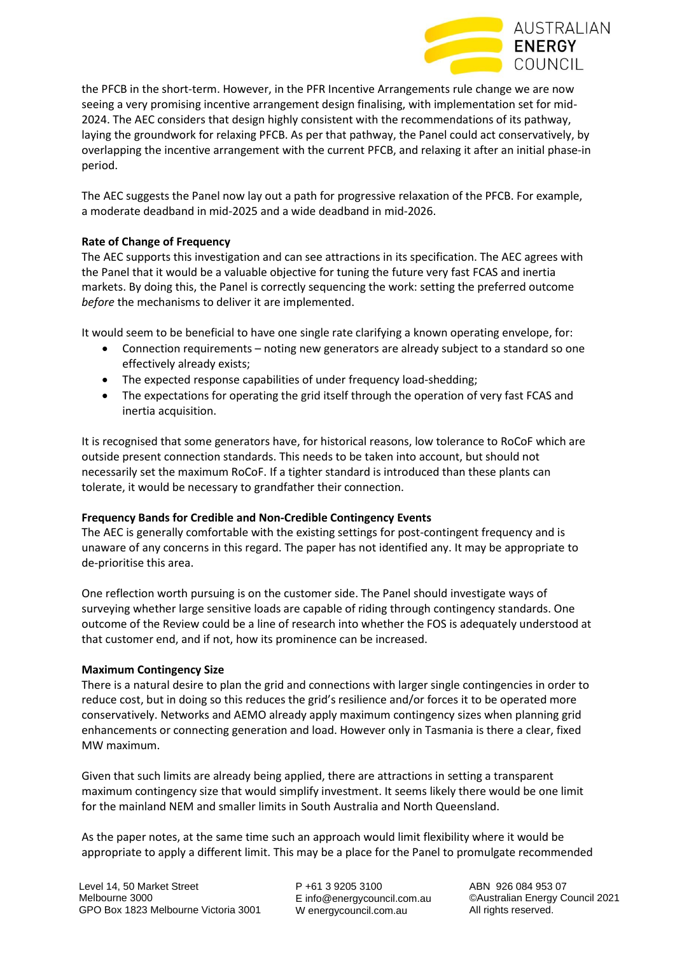

the PFCB in the short-term. However, in the PFR Incentive Arrangements rule change we are now seeing a very promising incentive arrangement design finalising, with implementation set for mid-2024. The AEC considers that design highly consistent with the recommendations of its pathway, laying the groundwork for relaxing PFCB. As per that pathway, the Panel could act conservatively, by overlapping the incentive arrangement with the current PFCB, and relaxing it after an initial phase-in period.

The AEC suggests the Panel now lay out a path for progressive relaxation of the PFCB. For example, a moderate deadband in mid-2025 and a wide deadband in mid-2026.

## **Rate of Change of Frequency**

The AEC supports this investigation and can see attractions in its specification. The AEC agrees with the Panel that it would be a valuable objective for tuning the future very fast FCAS and inertia markets. By doing this, the Panel is correctly sequencing the work: setting the preferred outcome *before* the mechanisms to deliver it are implemented.

It would seem to be beneficial to have one single rate clarifying a known operating envelope, for:

- Connection requirements noting new generators are already subject to a standard so one effectively already exists;
- The expected response capabilities of under frequency load-shedding;
- The expectations for operating the grid itself through the operation of very fast FCAS and inertia acquisition.

It is recognised that some generators have, for historical reasons, low tolerance to RoCoF which are outside present connection standards. This needs to be taken into account, but should not necessarily set the maximum RoCoF. If a tighter standard is introduced than these plants can tolerate, it would be necessary to grandfather their connection.

## **Frequency Bands for Credible and Non-Credible Contingency Events**

The AEC is generally comfortable with the existing settings for post-contingent frequency and is unaware of any concerns in this regard. The paper has not identified any. It may be appropriate to de-prioritise this area.

One reflection worth pursuing is on the customer side. The Panel should investigate ways of surveying whether large sensitive loads are capable of riding through contingency standards. One outcome of the Review could be a line of research into whether the FOS is adequately understood at that customer end, and if not, how its prominence can be increased.

#### **Maximum Contingency Size**

There is a natural desire to plan the grid and connections with larger single contingencies in order to reduce cost, but in doing so this reduces the grid's resilience and/or forces it to be operated more conservatively. Networks and AEMO already apply maximum contingency sizes when planning grid enhancements or connecting generation and load. However only in Tasmania is there a clear, fixed MW maximum.

Given that such limits are already being applied, there are attractions in setting a transparent maximum contingency size that would simplify investment. It seems likely there would be one limit for the mainland NEM and smaller limits in South Australia and North Queensland.

As the paper notes, at the same time such an approach would limit flexibility where it would be appropriate to apply a different limit. This may be a place for the Panel to promulgate recommended

P +61 3 9205 3100 E info@energycouncil.com.au W energycouncil.com.au

ABN 926 084 953 07 ©Australian Energy Council 2021 All rights reserved.